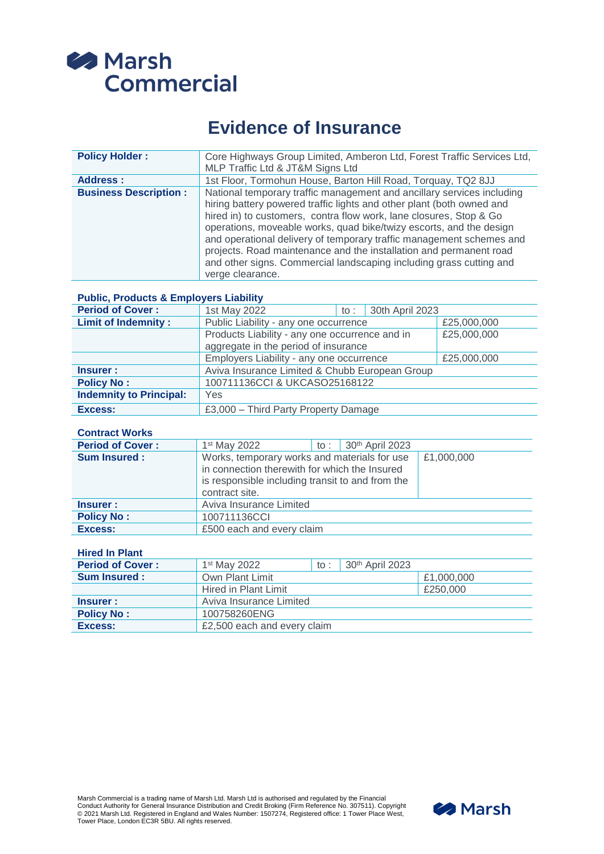

# **Evidence of Insurance**

| <b>Policy Holder:</b>        | Core Highways Group Limited, Amberon Ltd, Forest Traffic Services Ltd,<br>MLP Traffic Ltd & JT&M Signs Ltd                                                                                                                                                                                                                                                                                                                                                                                                                            |
|------------------------------|---------------------------------------------------------------------------------------------------------------------------------------------------------------------------------------------------------------------------------------------------------------------------------------------------------------------------------------------------------------------------------------------------------------------------------------------------------------------------------------------------------------------------------------|
| Address:                     | 1st Floor, Tormohun House, Barton Hill Road, Torquay, TQ2 8JJ                                                                                                                                                                                                                                                                                                                                                                                                                                                                         |
| <b>Business Description:</b> | National temporary traffic management and ancillary services including<br>hiring battery powered traffic lights and other plant (both owned and<br>hired in) to customers, contra flow work, lane closures, Stop & Go<br>operations, moveable works, quad bike/twizy escorts, and the design<br>and operational delivery of temporary traffic management schemes and<br>projects. Road maintenance and the installation and permanent road<br>and other signs. Commercial landscaping including grass cutting and<br>verge clearance. |

## **Public, Products & Employers Liability**

| <b>Period of Cover:</b>        | 1st May 2022                                   | 30th April 2023<br>to : |             |
|--------------------------------|------------------------------------------------|-------------------------|-------------|
| <b>Limit of Indemnity:</b>     | Public Liability - any one occurrence          |                         | £25,000,000 |
|                                | Products Liability - any one occurrence and in |                         | £25,000,000 |
|                                | aggregate in the period of insurance           |                         |             |
|                                | Employers Liability - any one occurrence       |                         | £25,000,000 |
| Insurer:                       | Aviva Insurance Limited & Chubb European Group |                         |             |
| <b>Policy No:</b>              | 100711136CCI & UKCASO25168122                  |                         |             |
| <b>Indemnity to Principal:</b> | Yes                                            |                         |             |
| Excess:                        | £3,000 - Third Party Property Damage           |                         |             |

#### **Contract Works**

| <b>Period of Cover:</b> | $1st$ May 2022                                                                                                                                                      | to: $30^{th}$ April 2023 |            |
|-------------------------|---------------------------------------------------------------------------------------------------------------------------------------------------------------------|--------------------------|------------|
| <b>Sum Insured:</b>     | Works, temporary works and materials for use<br>in connection therewith for which the Insured<br>is responsible including transit to and from the<br>contract site. |                          | £1,000,000 |
| Insurer:                | Aviva Insurance Limited                                                                                                                                             |                          |            |
| <b>Policy No:</b>       | 100711136CCI                                                                                                                                                        |                          |            |
| Excess:                 | £500 each and every claim                                                                                                                                           |                          |            |

## **Hired In Plant**

| <b>Period of Cover:</b> | 1 <sup>st</sup> May 2022    | $\mathsf{to}$ : | $30th$ April 2023 |            |
|-------------------------|-----------------------------|-----------------|-------------------|------------|
| <b>Sum Insured:</b>     | Own Plant Limit             |                 |                   | £1,000,000 |
|                         | Hired in Plant Limit        |                 |                   | £250,000   |
| Insurer :               | Aviva Insurance Limited     |                 |                   |            |
| <b>Policy No:</b>       | 100758260ENG                |                 |                   |            |
| Excess:                 | £2,500 each and every claim |                 |                   |            |

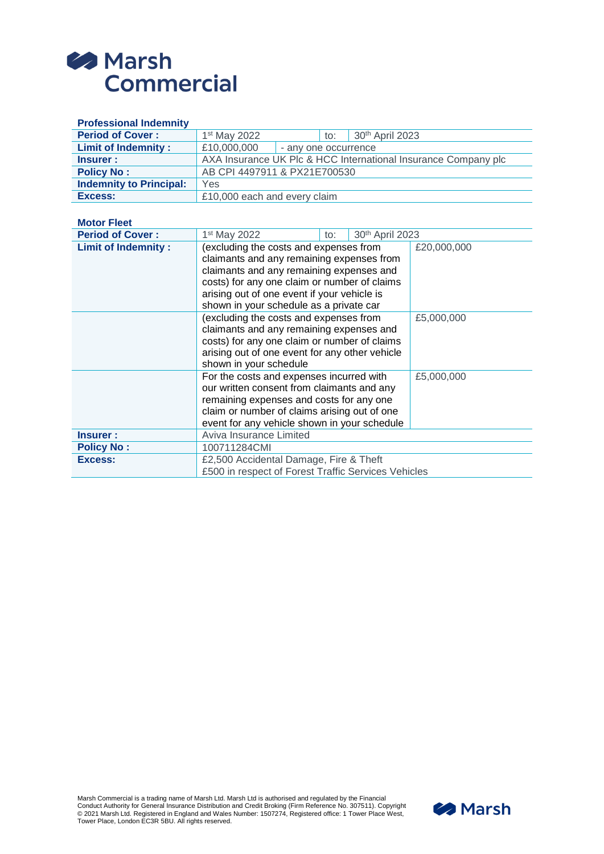

| <b>Professional Indemnity</b>  |                                                                |  |  |
|--------------------------------|----------------------------------------------------------------|--|--|
| <b>Period of Cover:</b>        | 1st May 2022<br>30th April 2023<br>to:                         |  |  |
| <b>Limit of Indemnity:</b>     | £10,000,000<br>- any one occurrence                            |  |  |
| <b>Insurer:</b>                | AXA Insurance UK Plc & HCC International Insurance Company plc |  |  |
| <b>Policy No:</b>              | AB CPI 4497911 & PX21E700530                                   |  |  |
| <b>Indemnity to Principal:</b> | Yes                                                            |  |  |
| Excess:                        | £10,000 each and every claim                                   |  |  |
| <b>Motor Fleet</b>             |                                                                |  |  |
| <b>Period of Cover:</b>        | 1 <sup>st</sup> May 2022<br>30th April 2023<br>to:             |  |  |
| <b>Limit of Indemnity:</b>     | (excluding the costs and expenses from<br>£20,000,000          |  |  |
|                                | claimants and any remaining expenses from                      |  |  |
|                                | claimants and any remaining expenses and                       |  |  |
|                                | costs) for any one claim or number of claims                   |  |  |
|                                | arising out of one event if your vehicle is                    |  |  |
|                                | shown in your schedule as a private car                        |  |  |
|                                | (excluding the costs and expenses from<br>£5,000,000           |  |  |
|                                | claimants and any remaining expenses and                       |  |  |
|                                | costs) for any one claim or number of claims                   |  |  |
|                                | arising out of one event for any other vehicle                 |  |  |
|                                | shown in your schedule                                         |  |  |
|                                | For the costs and expenses incurred with<br>£5,000,000         |  |  |
|                                | our written consent from claimants and any                     |  |  |
|                                | remaining expenses and costs for any one                       |  |  |
|                                | claim or number of claims arising out of one                   |  |  |
|                                | event for any vehicle shown in your schedule                   |  |  |
| <b>Insurer:</b>                | Aviva Insurance Limited                                        |  |  |
| <b>Policy No:</b>              | 100711284CMI                                                   |  |  |
| Excess:                        | £2,500 Accidental Damage, Fire & Theft                         |  |  |
|                                | £500 in respect of Forest Traffic Services Vehicles            |  |  |